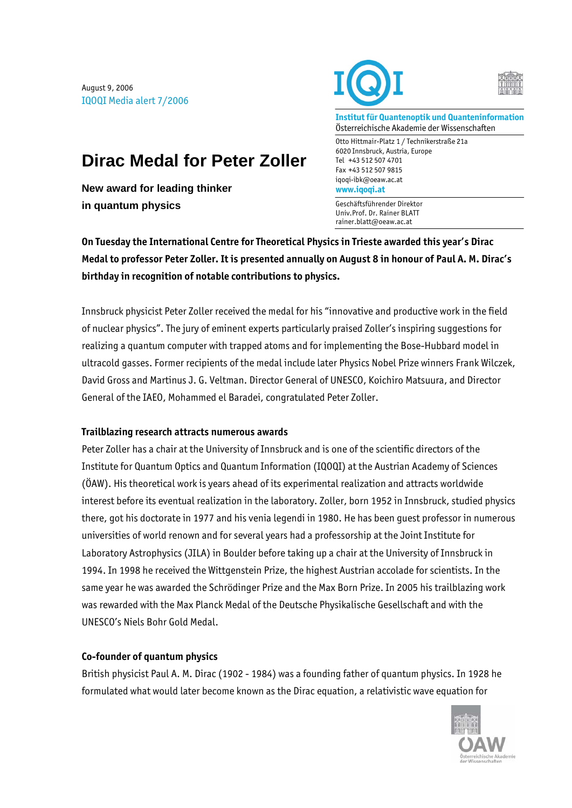August 9, 2006 IQOQI Media alert 7/2006

**in quantum physics** 

**New award for leading thinker** 





**Institut für Quantenoptik und Quanteninformation**  Österreichische Akademie der Wissenschaften

Otto Hittmair-Platz 1 / Technikerstraße 21a 6020 Innsbruck, Austria, Europe Tel +43 512 507 4701 Fax +43 512 507 9815 iqoqi-ibk@oeaw.ac.at **www.iqoqi.at** 

Geschäftsführender Direktor Univ.Prof. Dr. Rainer BLATT rainer.blatt@oeaw.ac.at

**On Tuesday the International Centre for Theoretical Physics in Trieste awarded this year's Dirac Medal to professor Peter Zoller. It is presented annually on August 8 in honour of Paul A. M. Dirac's birthday in recognition of notable contributions to physics.** 

Innsbruck physicist Peter Zoller received the medal for his "innovative and productive work in the field of nuclear physics". The jury of eminent experts particularly praised Zoller's inspiring suggestions for realizing a quantum computer with trapped atoms and for implementing the Bose-Hubbard model in ultracold gasses. Former recipients of the medal include later Physics Nobel Prize winners Frank Wilczek, David Gross and Martinus J. G. Veltman. Director General of UNESCO, Koichiro Matsuura, and Director General of the IAEO, Mohammed el Baradei, congratulated Peter Zoller.

## **Trailblazing research attracts numerous awards**

**Dirac Medal for Peter Zoller** 

Peter Zoller has a chair at the University of Innsbruck and is one of the scientific directors of the Institute for Quantum Optics and Quantum Information (IQOQI) at the Austrian Academy of Sciences (ÖAW). His theoretical work is years ahead of its experimental realization and attracts worldwide interest before its eventual realization in the laboratory. Zoller, born 1952 in Innsbruck, studied physics there, got his doctorate in 1977 and his venia legendi in 1980. He has been guest professor in numerous universities of world renown and for several years had a professorship at the Joint Institute for Laboratory Astrophysics (JILA) in Boulder before taking up a chair at the University of Innsbruck in 1994. In 1998 he received the Wittgenstein Prize, the highest Austrian accolade for scientists. In the same year he was awarded the Schrödinger Prize and the Max Born Prize. In 2005 his trailblazing work was rewarded with the Max Planck Medal of the Deutsche Physikalische Gesellschaft and with the UNESCO's Niels Bohr Gold Medal.

## **Co-founder of quantum physics**

British physicist Paul A. M. Dirac (1902 - 1984) was a founding father of quantum physics. In 1928 he formulated what would later become known as the Dirac equation, a relativistic wave equation for